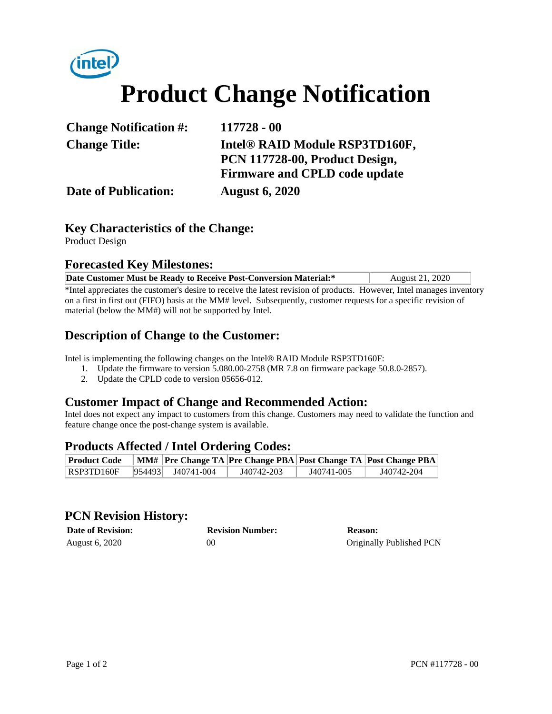# intel. **Product Change Notification**

| <b>Change Notification #:</b> | 117728 - 00                                                      |  |
|-------------------------------|------------------------------------------------------------------|--|
| <b>Change Title:</b>          | Intel® RAID Module RSP3TD160F,<br>PCN 117728-00, Product Design, |  |
|                               | <b>Firmware and CPLD code update</b>                             |  |
| <b>Date of Publication:</b>   | <b>August 6, 2020</b>                                            |  |

## **Key Characteristics of the Change:**

Product Design

#### **Forecasted Key Milestones:**

| Date Customer Must be Ready to Receive Post-Conversion Material:*                                                     | August 21, 2020 |  |  |  |  |
|-----------------------------------------------------------------------------------------------------------------------|-----------------|--|--|--|--|
| *Intel appreciates the customer's desire to receive the latest revision of products. However, Intel manages inventory |                 |  |  |  |  |
| on a first in first out (FIFO) basis at the MM# level. Subsequently, customer requests for a specific revision of     |                 |  |  |  |  |
| material (below the MM#) will not be supported by Intel.                                                              |                 |  |  |  |  |

## **Description of Change to the Customer:**

Intel is implementing the following changes on the Intel® RAID Module RSP3TD160F:

- 1. Update the firmware to version 5.080.00-2758 (MR 7.8 on firmware package 50.8.0-2857).
- 2. Update the CPLD code to version 05656-012.

#### **Customer Impact of Change and Recommended Action:**

Intel does not expect any impact to customers from this change. Customers may need to validate the function and feature change once the post-change system is available.

#### **Products Affected / Intel Ordering Codes:**

| <b>Product Code</b>            |                       |            |            | MM#   Pre Change TA   Pre Change PBA   Post Change TA   Post Change PBA |
|--------------------------------|-----------------------|------------|------------|-------------------------------------------------------------------------|
| $\overline{\text{RSP3TD160F}}$ | $ 954493 $ J40741-004 | J40742-203 | J40741-005 | J40742-204                                                              |

#### **PCN Revision History:**

| <b>Date of Revision:</b> | <b>Revision Number:</b> | Reason:                  |
|--------------------------|-------------------------|--------------------------|
| August 6, 2020           | 00                      | Originally Published PCN |